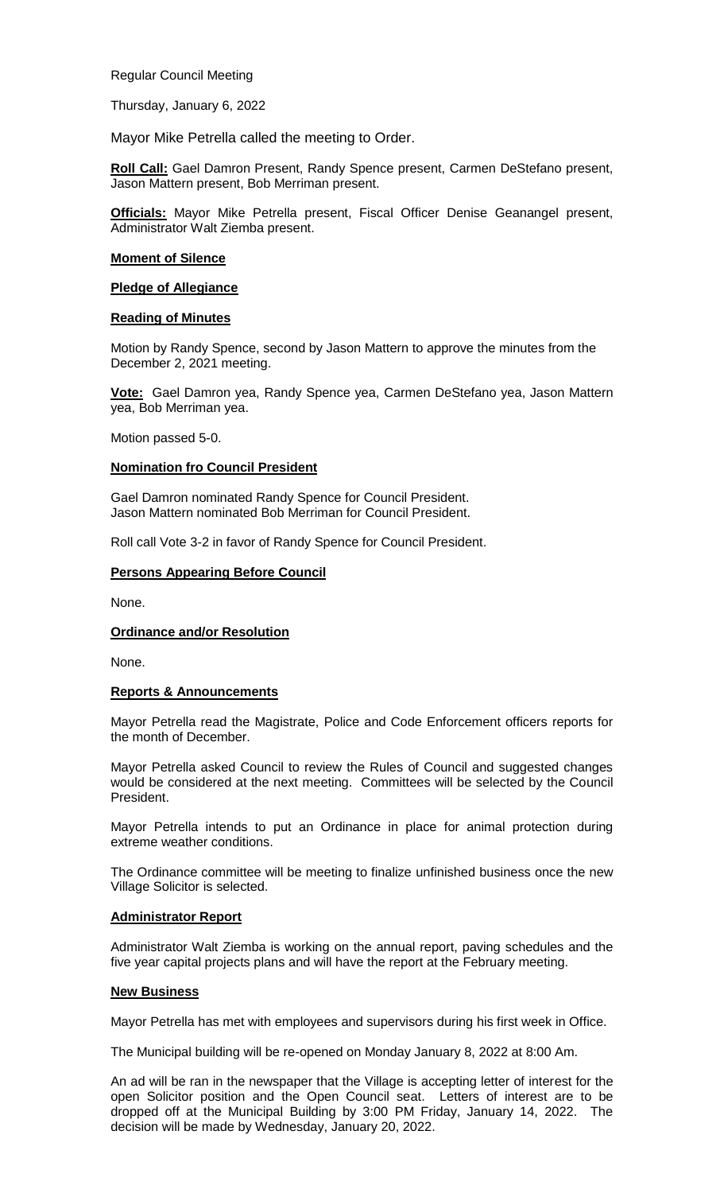Regular Council Meeting

Thursday, January 6, 2022

Mayor Mike Petrella called the meeting to Order.

**Roll Call:** Gael Damron Present, Randy Spence present, Carmen DeStefano present, Jason Mattern present, Bob Merriman present.

**Officials:** Mayor Mike Petrella present, Fiscal Officer Denise Geanangel present, Administrator Walt Ziemba present.

## **Moment of Silence**

## **Pledge of Allegiance**

## **Reading of Minutes**

Motion by Randy Spence, second by Jason Mattern to approve the minutes from the December 2, 2021 meeting.

**Vote:** Gael Damron yea, Randy Spence yea, Carmen DeStefano yea, Jason Mattern yea, Bob Merriman yea.

Motion passed 5-0.

## **Nomination fro Council President**

Gael Damron nominated Randy Spence for Council President. Jason Mattern nominated Bob Merriman for Council President.

Roll call Vote 3-2 in favor of Randy Spence for Council President.

## **Persons Appearing Before Council**

None.

## **Ordinance and/or Resolution**

None.

## **Reports & Announcements**

Mayor Petrella read the Magistrate, Police and Code Enforcement officers reports for the month of December.

Mayor Petrella asked Council to review the Rules of Council and suggested changes would be considered at the next meeting. Committees will be selected by the Council President.

Mayor Petrella intends to put an Ordinance in place for animal protection during extreme weather conditions.

The Ordinance committee will be meeting to finalize unfinished business once the new Village Solicitor is selected.

## **Administrator Report**

Administrator Walt Ziemba is working on the annual report, paving schedules and the five year capital projects plans and will have the report at the February meeting.

#### **New Business**

Mayor Petrella has met with employees and supervisors during his first week in Office.

The Municipal building will be re-opened on Monday January 8, 2022 at 8:00 Am.

An ad will be ran in the newspaper that the Village is accepting letter of interest for the open Solicitor position and the Open Council seat. Letters of interest are to be dropped off at the Municipal Building by 3:00 PM Friday, January 14, 2022. The decision will be made by Wednesday, January 20, 2022.